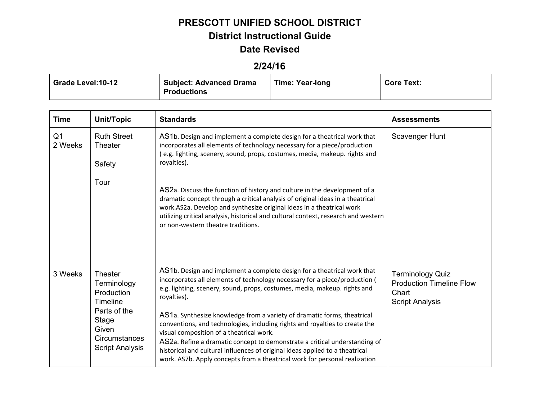## **PRESCOTT UNIFIED SCHOOL DISTRICT**

### **District Instructional Guide**

#### **Date Revised**

### **2/24/16**

| <b>Grade Level:10-12</b> | <b>Subject: Advanced Drama</b><br>Productions | <b>Time: Year-long</b> | <b>Core Text:</b> |
|--------------------------|-----------------------------------------------|------------------------|-------------------|
|                          |                                               |                        |                   |

| <b>Time</b>               | Unit/Topic                                                                                                                           | <b>Standards</b>                                                                                                                                                                                                                                                                                                                                                                                                                                                                                                                                                                                                      | <b>Assessments</b>                                                                            |
|---------------------------|--------------------------------------------------------------------------------------------------------------------------------------|-----------------------------------------------------------------------------------------------------------------------------------------------------------------------------------------------------------------------------------------------------------------------------------------------------------------------------------------------------------------------------------------------------------------------------------------------------------------------------------------------------------------------------------------------------------------------------------------------------------------------|-----------------------------------------------------------------------------------------------|
| Q <sub>1</sub><br>2 Weeks | <b>Ruth Street</b><br>Theater                                                                                                        | AS1b. Design and implement a complete design for a theatrical work that<br>incorporates all elements of technology necessary for a piece/production<br>(e.g. lighting, scenery, sound, props, costumes, media, makeup. rights and                                                                                                                                                                                                                                                                                                                                                                                     | Scavenger Hunt                                                                                |
|                           | Safety                                                                                                                               | royalties).                                                                                                                                                                                                                                                                                                                                                                                                                                                                                                                                                                                                           |                                                                                               |
|                           | Tour                                                                                                                                 | AS2a. Discuss the function of history and culture in the development of a<br>dramatic concept through a critical analysis of original ideas in a theatrical<br>work.AS2a. Develop and synthesize original ideas in a theatrical work<br>utilizing critical analysis, historical and cultural context, research and western<br>or non-western theatre traditions.                                                                                                                                                                                                                                                      |                                                                                               |
| 3 Weeks                   | Theater<br>Terminology<br>Production<br>Timeline<br>Parts of the<br>Stage<br>Given<br><b>Circumstances</b><br><b>Script Analysis</b> | AS1b. Design and implement a complete design for a theatrical work that<br>incorporates all elements of technology necessary for a piece/production (<br>e.g. lighting, scenery, sound, props, costumes, media, makeup. rights and<br>royalties).<br>AS1a. Synthesize knowledge from a variety of dramatic forms, theatrical<br>conventions, and technologies, including rights and royalties to create the<br>visual composition of a theatrical work.<br>AS2a. Refine a dramatic concept to demonstrate a critical understanding of<br>historical and cultural influences of original ideas applied to a theatrical | <b>Terminology Quiz</b><br><b>Production Timeline Flow</b><br>Chart<br><b>Script Analysis</b> |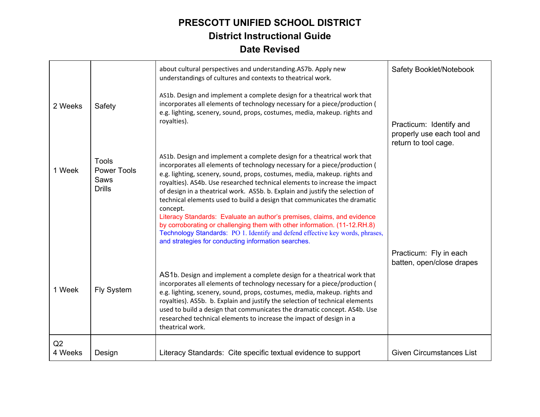|               |                                                             | about cultural perspectives and understanding.AS7b. Apply new<br>understandings of cultures and contexts to theatrical work.                                                                                                                                                                                                                                                                                                                                                                                                                                                                                                                                                                                                                                                              | Safety Booklet/Notebook                                                       |
|---------------|-------------------------------------------------------------|-------------------------------------------------------------------------------------------------------------------------------------------------------------------------------------------------------------------------------------------------------------------------------------------------------------------------------------------------------------------------------------------------------------------------------------------------------------------------------------------------------------------------------------------------------------------------------------------------------------------------------------------------------------------------------------------------------------------------------------------------------------------------------------------|-------------------------------------------------------------------------------|
| 2 Weeks       | Safety                                                      | AS1b. Design and implement a complete design for a theatrical work that<br>incorporates all elements of technology necessary for a piece/production (<br>e.g. lighting, scenery, sound, props, costumes, media, makeup. rights and<br>royalties).                                                                                                                                                                                                                                                                                                                                                                                                                                                                                                                                         | Practicum: Identify and<br>properly use each tool and<br>return to tool cage. |
| 1 Week        | <b>Tools</b><br><b>Power Tools</b><br>Saws<br><b>Drills</b> | AS1b. Design and implement a complete design for a theatrical work that<br>incorporates all elements of technology necessary for a piece/production (<br>e.g. lighting, scenery, sound, props, costumes, media, makeup. rights and<br>royalties). AS4b. Use researched technical elements to increase the impact<br>of design in a theatrical work. AS5b. b. Explain and justify the selection of<br>technical elements used to build a design that communicates the dramatic<br>concept.<br>Literacy Standards: Evaluate an author's premises, claims, and evidence<br>by corroborating or challenging them with other information. (11-12.RH.8)<br>Technology Standards: PO 1. Identify and defend effective key words, phrases,<br>and strategies for conducting information searches. |                                                                               |
| 1 Week        | <b>Fly System</b>                                           | AS1b. Design and implement a complete design for a theatrical work that<br>incorporates all elements of technology necessary for a piece/production (<br>e.g. lighting, scenery, sound, props, costumes, media, makeup. rights and<br>royalties). AS5b. b. Explain and justify the selection of technical elements<br>used to build a design that communicates the dramatic concept. AS4b. Use<br>researched technical elements to increase the impact of design in a<br>theatrical work.                                                                                                                                                                                                                                                                                                 | Practicum: Fly in each<br>batten, open/close drapes                           |
| Q2<br>4 Weeks | Design                                                      | Literacy Standards: Cite specific textual evidence to support                                                                                                                                                                                                                                                                                                                                                                                                                                                                                                                                                                                                                                                                                                                             | <b>Given Circumstances List</b>                                               |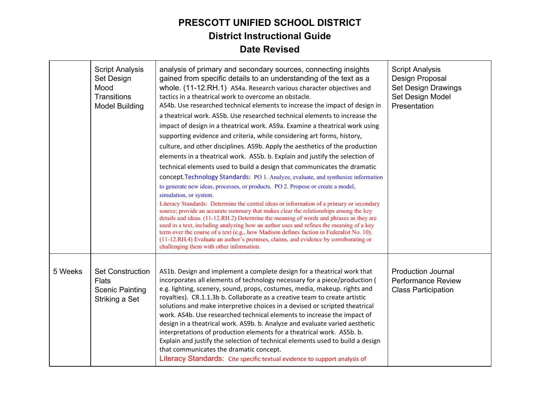|         | <b>Script Analysis</b><br>Set Design<br>Mood<br>Transitions<br><b>Model Building</b> | analysis of primary and secondary sources, connecting insights<br>gained from specific details to an understanding of the text as a<br>whole. (11-12.RH.1) AS4a. Research various character objectives and<br>tactics in a theatrical work to overcome an obstacle.<br>AS4b. Use researched technical elements to increase the impact of design in<br>a theatrical work. AS5b. Use researched technical elements to increase the<br>impact of design in a theatrical work. AS9a. Examine a theatrical work using<br>supporting evidence and criteria, while considering art forms, history,<br>culture, and other disciplines. AS9b. Apply the aesthetics of the production<br>elements in a theatrical work. AS5b. b. Explain and justify the selection of<br>technical elements used to build a design that communicates the dramatic<br>concept. Technology Standards: PO 1. Analyze, evaluate, and synthesize information<br>to generate new ideas, processes, or products. PO 2. Propose or create a model,<br>simulation, or system.<br>Literacy Standards: Determine the central ideas or information of a primary or secondary<br>source; provide an accurate summary that makes clear the relationships among the key<br>details and ideas. (11-12.RH.2) Determine the meaning of words and phrases as they are<br>used in a text, including analyzing how an author uses and refines the meaning of a key<br>term over the course of a text (e.g., how Madison defines faction in Federalist No. 10).<br>(11-12.RH.4) Evaluate an author's premises, claims, and evidence by corroborating or<br>challenging them with other information. | <b>Script Analysis</b><br>Design Proposal<br>Set Design Drawings<br>Set Design Model<br>Presentation |
|---------|--------------------------------------------------------------------------------------|-----------------------------------------------------------------------------------------------------------------------------------------------------------------------------------------------------------------------------------------------------------------------------------------------------------------------------------------------------------------------------------------------------------------------------------------------------------------------------------------------------------------------------------------------------------------------------------------------------------------------------------------------------------------------------------------------------------------------------------------------------------------------------------------------------------------------------------------------------------------------------------------------------------------------------------------------------------------------------------------------------------------------------------------------------------------------------------------------------------------------------------------------------------------------------------------------------------------------------------------------------------------------------------------------------------------------------------------------------------------------------------------------------------------------------------------------------------------------------------------------------------------------------------------------------------------------------------------------------------------------------------------------------|------------------------------------------------------------------------------------------------------|
| 5 Weeks | <b>Set Construction</b><br><b>Flats</b><br><b>Scenic Painting</b><br>Striking a Set  | AS1b. Design and implement a complete design for a theatrical work that<br>incorporates all elements of technology necessary for a piece/production (<br>e.g. lighting, scenery, sound, props, costumes, media, makeup. rights and<br>royalties). CR.1.1.3b b. Collaborate as a creative team to create artistic<br>solutions and make interpretive choices in a devised or scripted theatrical<br>work. AS4b. Use researched technical elements to increase the impact of<br>design in a theatrical work. AS9b. b. Analyze and evaluate varied aesthetic<br>interpretations of production elements for a theatrical work. AS5b. b.<br>Explain and justify the selection of technical elements used to build a design<br>that communicates the dramatic concept.<br>Literacy Standards: Cite specific textual evidence to support analysis of                                                                                                                                                                                                                                                                                                                                                                                                                                                                                                                                                                                                                                                                                                                                                                                                       | <b>Production Journal</b><br><b>Performance Review</b><br><b>Class Participation</b>                 |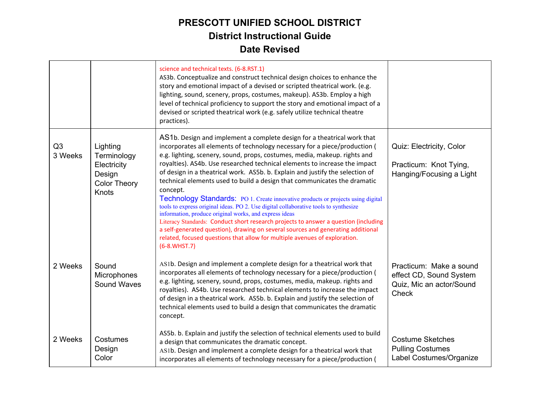|               |                                                                                  | science and technical texts. (6-8.RST.1)<br>AS3b. Conceptualize and construct technical design choices to enhance the<br>story and emotional impact of a devised or scripted theatrical work. (e.g.<br>lighting, sound, scenery, props, costumes, makeup). AS3b. Employ a high<br>level of technical proficiency to support the story and emotional impact of a<br>devised or scripted theatrical work (e.g. safely utilize technical theatre<br>practices).                                                                                                                                                                                                                                                                                                                                                                                                                                                                                                                                                      |                                                                                                |
|---------------|----------------------------------------------------------------------------------|-------------------------------------------------------------------------------------------------------------------------------------------------------------------------------------------------------------------------------------------------------------------------------------------------------------------------------------------------------------------------------------------------------------------------------------------------------------------------------------------------------------------------------------------------------------------------------------------------------------------------------------------------------------------------------------------------------------------------------------------------------------------------------------------------------------------------------------------------------------------------------------------------------------------------------------------------------------------------------------------------------------------|------------------------------------------------------------------------------------------------|
| Q3<br>3 Weeks | Lighting<br>Terminology<br>Electricity<br>Design<br><b>Color Theory</b><br>Knots | AS1b. Design and implement a complete design for a theatrical work that<br>incorporates all elements of technology necessary for a piece/production (<br>e.g. lighting, scenery, sound, props, costumes, media, makeup. rights and<br>royalties). AS4b. Use researched technical elements to increase the impact<br>of design in a theatrical work. AS5b. b. Explain and justify the selection of<br>technical elements used to build a design that communicates the dramatic<br>concept.<br><b>Technology Standards:</b> PO 1. Create innovative products or projects using digital<br>tools to express original ideas. PO 2. Use digital collaborative tools to synthesize<br>information, produce original works, and express ideas<br>Literacy Standards: Conduct short research projects to answer a question (including<br>a self-generated question), drawing on several sources and generating additional<br>related, focused questions that allow for multiple avenues of exploration.<br>$(6-8.WHST.7)$ | Quiz: Electricity, Color<br>Practicum: Knot Tying,<br>Hanging/Focusing a Light                 |
| 2 Weeks       | Sound<br>Microphones<br>Sound Waves                                              | AS1b. Design and implement a complete design for a theatrical work that<br>incorporates all elements of technology necessary for a piece/production (<br>e.g. lighting, scenery, sound, props, costumes, media, makeup. rights and<br>royalties). AS4b. Use researched technical elements to increase the impact<br>of design in a theatrical work. AS5b. b. Explain and justify the selection of<br>technical elements used to build a design that communicates the dramatic<br>concept.                                                                                                                                                                                                                                                                                                                                                                                                                                                                                                                         | Practicum: Make a sound<br>effect CD, Sound System<br>Quiz, Mic an actor/Sound<br><b>Check</b> |
| 2 Weeks       | Costumes<br>Design<br>Color                                                      | AS5b. b. Explain and justify the selection of technical elements used to build<br>a design that communicates the dramatic concept.<br>AS1b. Design and implement a complete design for a theatrical work that<br>incorporates all elements of technology necessary for a piece/production (                                                                                                                                                                                                                                                                                                                                                                                                                                                                                                                                                                                                                                                                                                                       | <b>Costume Sketches</b><br><b>Pulling Costumes</b><br>Label Costumes/Organize                  |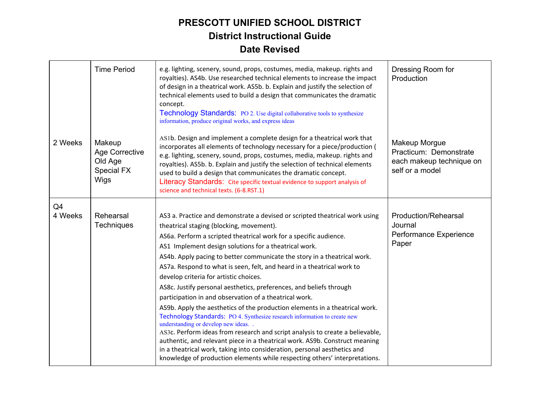|               | <b>Time Period</b>                                        | e.g. lighting, scenery, sound, props, costumes, media, makeup. rights and<br>royalties). AS4b. Use researched technical elements to increase the impact<br>of design in a theatrical work. AS5b. b. Explain and justify the selection of<br>technical elements used to build a design that communicates the dramatic<br>concept.<br>Technology Standards: PO 2. Use digital collaborative tools to synthesize<br>information, produce original works, and express ideas                                                                                                                                                                                                                                                                                                                                                                                                                                                                                                                                                                                                                                            | Dressing Room for<br>Production                                                        |
|---------------|-----------------------------------------------------------|--------------------------------------------------------------------------------------------------------------------------------------------------------------------------------------------------------------------------------------------------------------------------------------------------------------------------------------------------------------------------------------------------------------------------------------------------------------------------------------------------------------------------------------------------------------------------------------------------------------------------------------------------------------------------------------------------------------------------------------------------------------------------------------------------------------------------------------------------------------------------------------------------------------------------------------------------------------------------------------------------------------------------------------------------------------------------------------------------------------------|----------------------------------------------------------------------------------------|
| 2 Weeks       | Makeup<br>Age Corrective<br>Old Age<br>Special FX<br>Wigs | AS1b. Design and implement a complete design for a theatrical work that<br>incorporates all elements of technology necessary for a piece/production (<br>e.g. lighting, scenery, sound, props, costumes, media, makeup. rights and<br>royalties). AS5b. b. Explain and justify the selection of technical elements<br>used to build a design that communicates the dramatic concept.<br>Literacy Standards: Cite specific textual evidence to support analysis of<br>science and technical texts. (6-8.RST.1)                                                                                                                                                                                                                                                                                                                                                                                                                                                                                                                                                                                                      | Makeup Morgue<br>Practicum: Demonstrate<br>each makeup technique on<br>self or a model |
| Q4<br>4 Weeks | Rehearsal<br><b>Techniques</b>                            | AS3 a. Practice and demonstrate a devised or scripted theatrical work using<br>theatrical staging (blocking, movement).<br>AS6a. Perform a scripted theatrical work for a specific audience.<br>AS1 Implement design solutions for a theatrical work.<br>AS4b. Apply pacing to better communicate the story in a theatrical work.<br>AS7a. Respond to what is seen, felt, and heard in a theatrical work to<br>develop criteria for artistic choices.<br>AS8c. Justify personal aesthetics, preferences, and beliefs through<br>participation in and observation of a theatrical work.<br>AS9b. Apply the aesthetics of the production elements in a theatrical work.<br>Technology Standards: PO 4. Synthesize research information to create new<br>understanding or develop new ideas<br>AS3c. Perform ideas from research and script analysis to create a believable,<br>authentic, and relevant piece in a theatrical work. AS9b. Construct meaning<br>in a theatrical work, taking into consideration, personal aesthetics and<br>knowledge of production elements while respecting others' interpretations. | Production/Rehearsal<br>Journal<br>Performance Experience<br>Paper                     |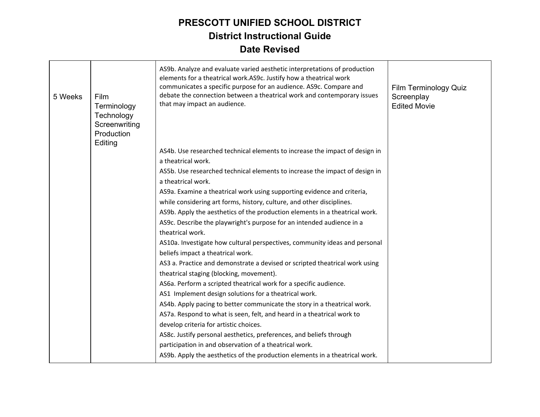| 5 Weeks | Film<br>Terminology<br>Technology<br>Screenwriting<br>Production<br>Editing | AS9b. Analyze and evaluate varied aesthetic interpretations of production<br>elements for a theatrical work.AS9c. Justify how a theatrical work<br>communicates a specific purpose for an audience. AS9c. Compare and<br>debate the connection between a theatrical work and contemporary issues<br>that may impact an audience. | Film Terminology Quiz<br>Screenplay<br><b>Edited Movie</b> |
|---------|-----------------------------------------------------------------------------|----------------------------------------------------------------------------------------------------------------------------------------------------------------------------------------------------------------------------------------------------------------------------------------------------------------------------------|------------------------------------------------------------|
|         |                                                                             | AS4b. Use researched technical elements to increase the impact of design in<br>a theatrical work.                                                                                                                                                                                                                                |                                                            |
|         |                                                                             | AS5b. Use researched technical elements to increase the impact of design in                                                                                                                                                                                                                                                      |                                                            |
|         |                                                                             | a theatrical work.                                                                                                                                                                                                                                                                                                               |                                                            |
|         |                                                                             | AS9a. Examine a theatrical work using supporting evidence and criteria,                                                                                                                                                                                                                                                          |                                                            |
|         |                                                                             | while considering art forms, history, culture, and other disciplines.                                                                                                                                                                                                                                                            |                                                            |
|         |                                                                             | AS9b. Apply the aesthetics of the production elements in a theatrical work.                                                                                                                                                                                                                                                      |                                                            |
|         |                                                                             | AS9c. Describe the playwright's purpose for an intended audience in a                                                                                                                                                                                                                                                            |                                                            |
|         |                                                                             | theatrical work.                                                                                                                                                                                                                                                                                                                 |                                                            |
|         |                                                                             | AS10a. Investigate how cultural perspectives, community ideas and personal<br>beliefs impact a theatrical work.                                                                                                                                                                                                                  |                                                            |
|         |                                                                             | AS3 a. Practice and demonstrate a devised or scripted theatrical work using<br>theatrical staging (blocking, movement).                                                                                                                                                                                                          |                                                            |
|         |                                                                             | AS6a. Perform a scripted theatrical work for a specific audience.                                                                                                                                                                                                                                                                |                                                            |
|         |                                                                             | AS1 Implement design solutions for a theatrical work.                                                                                                                                                                                                                                                                            |                                                            |
|         |                                                                             | AS4b. Apply pacing to better communicate the story in a theatrical work.                                                                                                                                                                                                                                                         |                                                            |
|         |                                                                             | AS7a. Respond to what is seen, felt, and heard in a theatrical work to                                                                                                                                                                                                                                                           |                                                            |
|         |                                                                             | develop criteria for artistic choices.                                                                                                                                                                                                                                                                                           |                                                            |
|         |                                                                             | AS8c. Justify personal aesthetics, preferences, and beliefs through                                                                                                                                                                                                                                                              |                                                            |
|         |                                                                             | participation in and observation of a theatrical work.                                                                                                                                                                                                                                                                           |                                                            |
|         |                                                                             | AS9b. Apply the aesthetics of the production elements in a theatrical work.                                                                                                                                                                                                                                                      |                                                            |